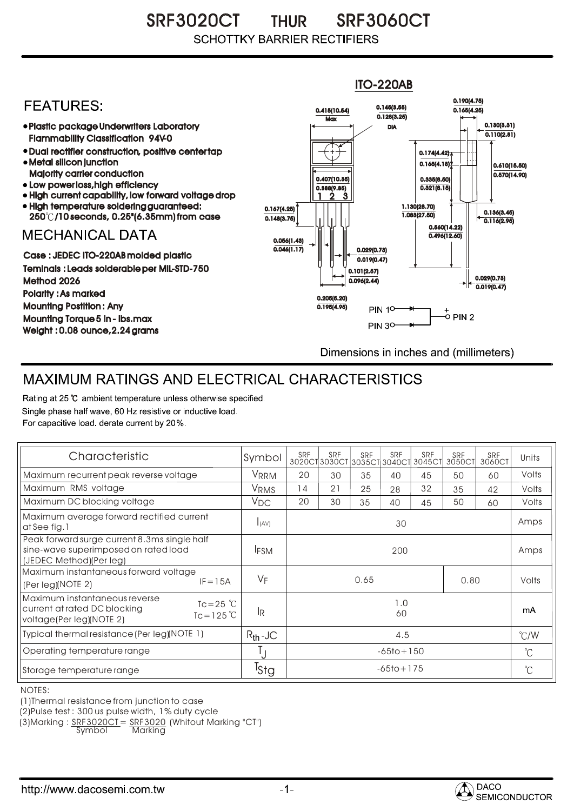SRF3020CT THUR SRF3060CT THUR **SCHOTTKY BARRIER RECTIFIERS** 



## MAXIMUM RATINGS AND ELECTRICAL CHARACTERISTICS

Rating at 25 °C ambient temperature unless otherwise specified. Single phase half wave, 60 Hz resistive or inductive load. For capacitive load, derate current by 20%.

| Characteristic                                                                                                                            | Symbol           | SRF            | SRF<br>3020CT3030CT3035CT3040CT | <b>SRF</b> | <b>SRF</b> | SRF<br>3045CT | SRF<br>3050CT | SRF<br>3060CT | Units         |
|-------------------------------------------------------------------------------------------------------------------------------------------|------------------|----------------|---------------------------------|------------|------------|---------------|---------------|---------------|---------------|
| Maximum recurrent peak reverse voltage                                                                                                    | <b>VRRM</b>      | 20             | 30                              | 35         | 40         | 45            | 50            | 60            | Volts         |
| Maximum RMS voltage                                                                                                                       | VRMS             | 14             | 21                              | 25         | 28         | 32            | 35            | 42            | Volts         |
| Maximum DC blocking voltage                                                                                                               | $V_{DC}$         | 20             | 30                              | 35         | 40         | 45            | 50            | 60            | Volts         |
| Maximum average forward rectified current<br>at See fig. 1                                                                                | I(AV)            | 30             |                                 |            |            |               |               |               | Amps          |
| Peak forward surge current 8.3ms single half<br>sine-wave superimposed on rated load<br>(JEDEC Method)(Per leg)                           | <b>IFSM</b>      | 200            |                                 |            |            |               |               |               | Amps          |
| Maximum instantaneous forward voltage<br>$IF = 15A$<br>(Per leg)(NOTE 2)                                                                  | $V_F$            | 0.65<br>0.80   |                                 |            |            |               |               | Volts         |               |
| Maximum instantaneous reverse<br>$Tc = 25$ $\degree$ C<br>current at rated DC blocking<br>$Tc = 125^{\circ}C$<br>voltage(Per leg)(NOTE 2) | l <sub>R</sub>   | 1.0<br>60      |                                 |            |            |               |               |               | mA            |
| Typical thermal resistance (Per leg)(NOTE 1)                                                                                              | $R_{th}$ -JC     | 4.5            |                                 |            |            |               |               |               | $\degree$ C/W |
| Operating temperature range                                                                                                               |                  | $-65$ to + 150 |                                 |            |            |               |               |               | $^{\circ}C$   |
| Storage temperature range                                                                                                                 | <sup>I</sup> Stg | $-65$ to + 175 |                                 |            |            |               |               |               | $^{\circ}C$   |

NOTES:

(1)Thermal resistance from junction to case

(2)Pulse test : 300 us pulse width, 1% duty cycle

(3)Marking : <u>SRF3020CT</u>= <u>SRF3020</u> (Whitout Marking "CT")

Symbol Marking